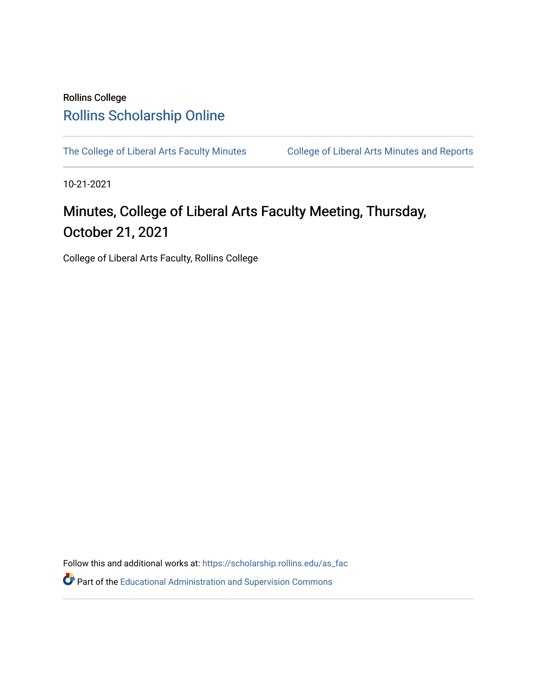### Rollins College [Rollins Scholarship Online](https://scholarship.rollins.edu/)

[The College of Liberal Arts Faculty Minutes](https://scholarship.rollins.edu/as_fac) College of Liberal Arts Minutes and Reports

10-21-2021

## Minutes, College of Liberal Arts Faculty Meeting, Thursday, October 21, 2021

College of Liberal Arts Faculty, Rollins College

Follow this and additional works at: [https://scholarship.rollins.edu/as\\_fac](https://scholarship.rollins.edu/as_fac?utm_source=scholarship.rollins.edu%2Fas_fac%2F1338&utm_medium=PDF&utm_campaign=PDFCoverPages) 

**P** Part of the [Educational Administration and Supervision Commons](http://network.bepress.com/hgg/discipline/787?utm_source=scholarship.rollins.edu%2Fas_fac%2F1338&utm_medium=PDF&utm_campaign=PDFCoverPages)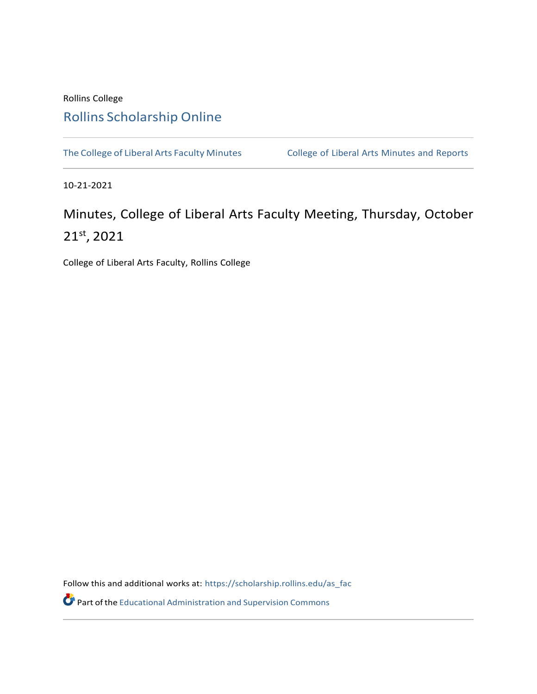#### Rollins College

### Rollins [Scholarship](https://scholarship.rollins.edu/) Online

The College of Liberal Arts Faculty [Minutes](https://scholarship.rollins.edu/as_min) College of Liberal Arts Minutes and Reports

10-21-2021

# Minutes, College of Liberal Arts Faculty Meeting, Thursday, October 21 st , 2021

College of Liberal Arts Faculty, Rollins College

Follow this and additional works at: [https://scholarship.rollins.edu/as\\_fac](https://scholarship.rollins.edu/as_fac?utm_source=scholarship.rollins.edu%2Fas_fac%2F197&utm_medium=PDF&utm_campaign=PDFCoverPages)

Part of the Educational [Administration](http://network.bepress.com/hgg/discipline/787?utm_source=scholarship.rollins.edu%2Fas_fac%2F197&utm_medium=PDF&utm_campaign=PDFCoverPages) and Supervision Commons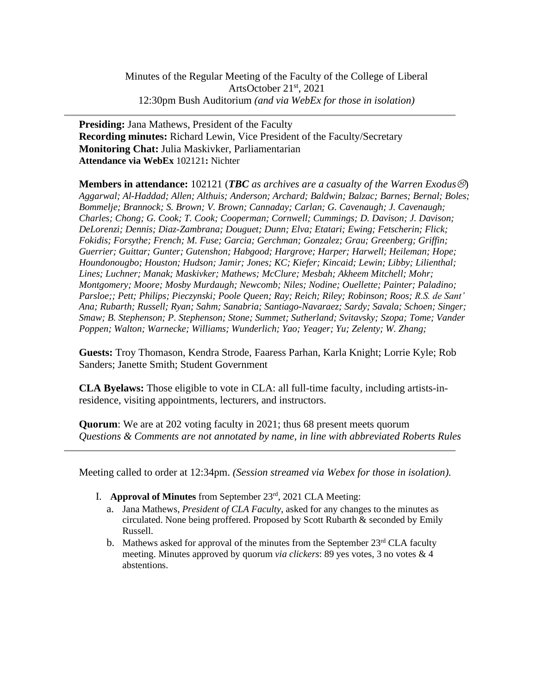**Presiding:** Jana Mathews, President of the Faculty **Recording minutes:** Richard Lewin, Vice President of the Faculty/Secretary **Monitoring Chat:** Julia Maskivker, Parliamentarian **Attendance via WebEx** 102121**:** Nichter

**Members in attendance:** 102121 (*TBC as archives are a casualty of the Warren Exodus*) *Aggarwal; Al-Haddad; Allen; Althuis; Anderson; Archard; Baldwin; Balzac; Barnes; Bernal; Boles; Bommelje; Brannock; S. Brown; V. Brown; Cannaday; Carlan; G. Cavenaugh; J. Cavenaugh; Charles; Chong; G. Cook; T. Cook; Cooperman; Cornwell; Cummings; D. Davison; J. Davison; DeLorenzi; Dennis; Diaz-Zambrana; Douguet; Dunn; Elva; Etatari; Ewing; Fetscherin; Flick; Fokidis; Forsythe; French; M. Fuse; Garcia; Gerchman; Gonzalez; Grau; Greenberg; Griffin; Guerrier; Guittar; Gunter; Gutenshon; Habgood; Hargrove; Harper; Harwell; Heileman; Hope; Houndonougbo; Houston; Hudson; Jamir; Jones; KC; Kiefer; Kincaid; Lewin; Libby; Lilienthal; Lines; Luchner; Manak; Maskivker; Mathews; McClure; Mesbah; Akheem Mitchell; Mohr; Montgomery; Moore; Mosby Murdaugh; Newcomb; Niles; Nodine; Ouellette; Painter; Paladino; Parsloe;; Pett; Philips; Pieczynski; Poole Queen; Ray; Reich; Riley; Robinson; Roos; R.S. de Sant' Ana; Rubarth; Russell; Ryan; Sahm; Sanabria; Santiago-Navaraez; Sardy; Savala; Schoen; Singer; Smaw; B. Stephenson; P. Stephenson; Stone; Summet; Sutherland; Svitavsky; Szopa; Tome; Vander Poppen; Walton; Warnecke; Williams; Wunderlich; Yao; Yeager; Yu; Zelenty; W. Zhang;*

**Guests:** Troy Thomason, Kendra Strode, Faaress Parhan, Karla Knight; Lorrie Kyle; Rob Sanders; Janette Smith; Student Government

**CLA Byelaws:** Those eligible to vote in CLA: all full-time faculty, including artists-inresidence, visiting appointments, lecturers, and instructors.

**Quorum**: We are at 202 voting faculty in 2021; thus 68 present meets quorum *Questions & Comments are not annotated by name, in line with abbreviated Roberts Rules*

Meeting called to order at 12:34pm. *(Session streamed via Webex for those in isolation).*

- I. **Approval of Minutes** from September 23rd , 2021 CLA Meeting:
	- a. Jana Mathews, *President of CLA Faculty*, asked for any changes to the minutes as circulated. None being proffered. Proposed by Scott Rubarth & seconded by Emily Russell.
	- b. Mathews asked for approval of the minutes from the September 23<sup>rd</sup> CLA faculty meeting. Minutes approved by quorum *via clickers*: 89 yes votes, 3 no votes & 4 abstentions.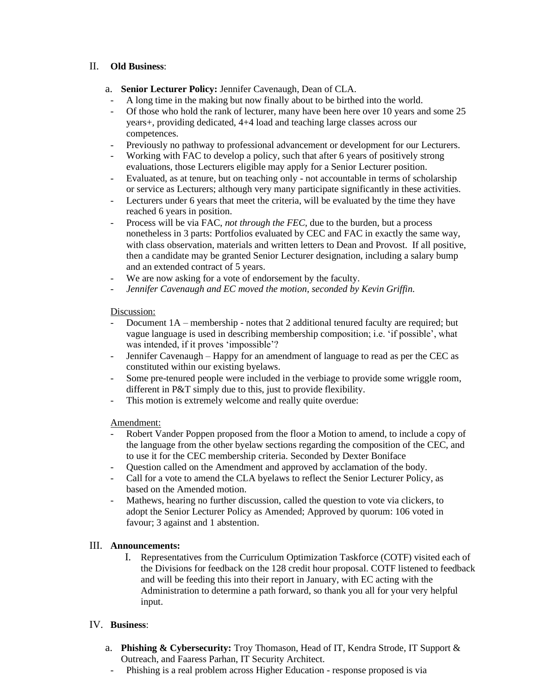#### II. **Old Business**:

- a. **Senior Lecturer Policy:** Jennifer Cavenaugh, Dean of CLA.
	- A long time in the making but now finally about to be birthed into the world.
- Of those who hold the rank of lecturer, many have been here over 10 years and some 25 years+, providing dedicated, 4+4 load and teaching large classes across our competences.
- Previously no pathway to professional advancement or development for our Lecturers.
- Working with FAC to develop a policy, such that after 6 years of positively strong evaluations, those Lecturers eligible may apply for a Senior Lecturer position.
- Evaluated, as at tenure, but on teaching only not accountable in terms of scholarship or service as Lecturers; although very many participate significantly in these activities.
- Lecturers under 6 years that meet the criteria, will be evaluated by the time they have reached 6 years in position.
- Process will be via FAC, *not through the FEC,* due to the burden, but a process nonetheless in 3 parts: Portfolios evaluated by CEC and FAC in exactly the same way, with class observation, materials and written letters to Dean and Provost. If all positive, then a candidate may be granted Senior Lecturer designation, including a salary bump and an extended contract of 5 years.
- We are now asking for a vote of endorsement by the faculty.
- *Jennifer Cavenaugh and EC moved the motion, seconded by Kevin Griffin.*

#### Discussion:

- Document 1A membership notes that 2 additional tenured faculty are required; but vague language is used in describing membership composition; i.e. 'if possible', what was intended, if it proves 'impossible'?
- Jennifer Cavenaugh Happy for an amendment of language to read as per the CEC as constituted within our existing byelaws.
- Some pre-tenured people were included in the verbiage to provide some wriggle room, different in P&T simply due to this, just to provide flexibility.
- This motion is extremely welcome and really quite overdue:

#### Amendment:

- Robert Vander Poppen proposed from the floor a Motion to amend, to include a copy of the language from the other byelaw sections regarding the composition of the CEC, and to use it for the CEC membership criteria. Seconded by Dexter Boniface
- Question called on the Amendment and approved by acclamation of the body.
- Call for a vote to amend the CLA byelaws to reflect the Senior Lecturer Policy, as based on the Amended motion.
- Mathews, hearing no further discussion, called the question to vote via clickers, to adopt the Senior Lecturer Policy as Amended; Approved by quorum: 106 voted in favour; 3 against and 1 abstention.

#### III. **Announcements:**

I. Representatives from the Curriculum Optimization Taskforce (COTF) visited each of the Divisions for feedback on the 128 credit hour proposal. COTF listened to feedback and will be feeding this into their report in January, with EC acting with the Administration to determine a path forward, so thank you all for your very helpful input.

#### IV. **Business**:

- a. **Phishing & Cybersecurity:** Troy Thomason, Head of IT, Kendra Strode, IT Support & Outreach, and Faaress Parhan, IT Security Architect.
- Phishing is a real problem across Higher Education response proposed is via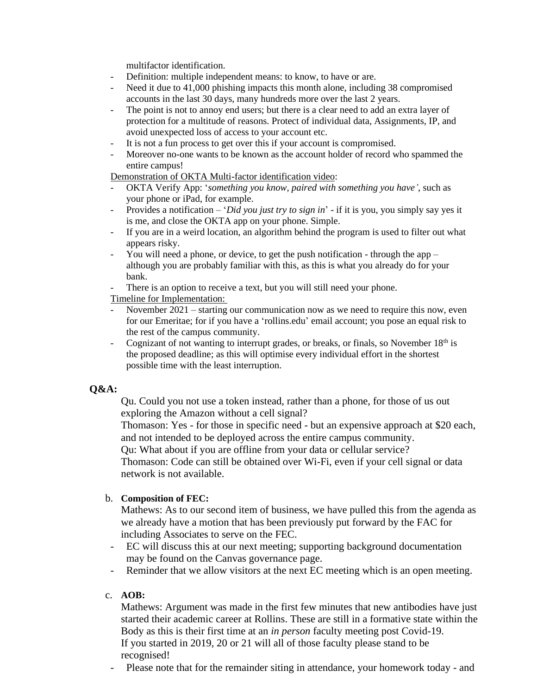multifactor identification.

- Definition: multiple independent means: to know, to have or are.<br>- Need it due to 41.000 phishing impacts this month alone, including
- Need it due to 41,000 phishing impacts this month alone, including 38 compromised accounts in the last 30 days, many hundreds more over the last 2 years.
- The point is not to annoy end users; but there is a clear need to add an extra layer of protection for a multitude of reasons. Protect of individual data, Assignments, IP, and avoid unexpected loss of access to your account etc.
- It is not a fun process to get over this if your account is compromised.
- Moreover no-one wants to be known as the account holder of record who spammed the entire campus!

Demonstration of OKTA Multi-factor identification video:

- OKTA Verify App: '*something you know, paired with something you have'*, such as your phone or iPad, for example.
- Provides a notification '*Did you just try to sign in*' if it is you, you simply say yes it is me, and close the OKTA app on your phone. Simple.
- If you are in a weird location, an algorithm behind the program is used to filter out what appears risky.
- You will need a phone, or device, to get the push notification through the app although you are probably familiar with this, as this is what you already do for your bank.
- There is an option to receive a text, but you will still need your phone.

Timeline for Implementation:

- November 2021 starting our communication now as we need to require this now, even for our Emeritae; for if you have a 'rollins.edu' email account; you pose an equal risk to the rest of the campus community.
- Cognizant of not wanting to interrupt grades, or breaks, or finals, so November  $18<sup>th</sup>$  is the proposed deadline; as this will optimise every individual effort in the shortest possible time with the least interruption.

#### **Q&A:**

Qu. Could you not use a token instead, rather than a phone, for those of us out exploring the Amazon without a cell signal?

Thomason: Yes - for those in specific need - but an expensive approach at \$20 each, and not intended to be deployed across the entire campus community.

Qu: What about if you are offline from your data or cellular service?

Thomason: Code can still be obtained over Wi-Fi, even if your cell signal or data network is not available.

#### b. **Composition of FEC:**

Mathews: As to our second item of business, we have pulled this from the agenda as we already have a motion that has been previously put forward by the FAC for including Associates to serve on the FEC.

- EC will discuss this at our next meeting; supporting background documentation may be found on the Canvas governance page.
- Reminder that we allow visitors at the next EC meeting which is an open meeting.

#### c. **AOB:**

Mathews: Argument was made in the first few minutes that new antibodies have just started their academic career at Rollins. These are still in a formative state within the Body as this is their first time at an *in person* faculty meeting post Covid-19. If you started in 2019, 20 or 21 will all of those faculty please stand to be recognised!

- Please note that for the remainder siting in attendance, your homework today - and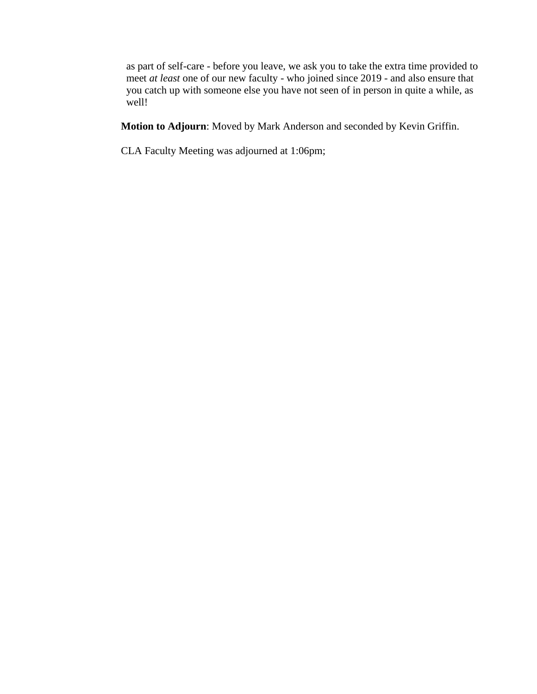as part of self-care - before you leave, we ask you to take the extra time provided to meet *at least* one of our new faculty - who joined since 2019 - and also ensure that you catch up with someone else you have not seen of in person in quite a while, as well!

**Motion to Adjourn**: Moved by Mark Anderson and seconded by Kevin Griffin.

CLA Faculty Meeting was adjourned at 1:06pm;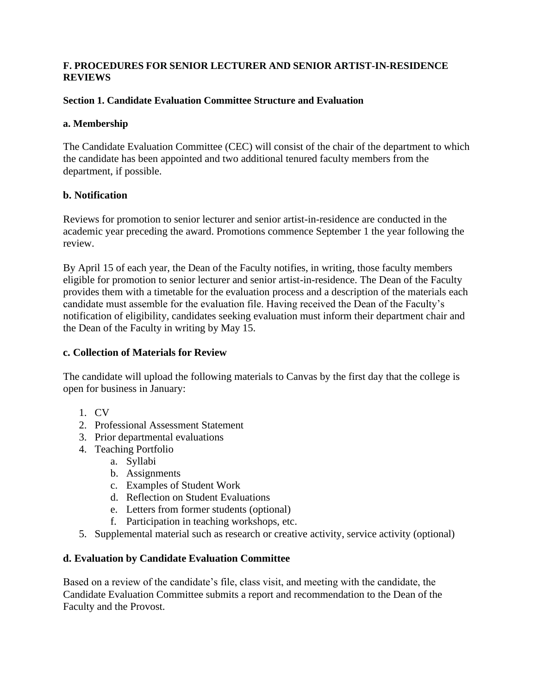#### **F. PROCEDURES FOR SENIOR LECTURER AND SENIOR ARTIST-IN-RESIDENCE REVIEWS**

#### **Section 1. Candidate Evaluation Committee Structure and Evaluation**

#### **a. Membership**

The Candidate Evaluation Committee (CEC) will consist of the chair of the department to which the candidate has been appointed and two additional tenured faculty members from the department, if possible.

#### **b. Notification**

Reviews for promotion to senior lecturer and senior artist-in-residence are conducted in the academic year preceding the award. Promotions commence September 1 the year following the review.

By April 15 of each year, the Dean of the Faculty notifies, in writing, those faculty members eligible for promotion to senior lecturer and senior artist-in-residence. The Dean of the Faculty provides them with a timetable for the evaluation process and a description of the materials each candidate must assemble for the evaluation file. Having received the Dean of the Faculty's notification of eligibility, candidates seeking evaluation must inform their department chair and the Dean of the Faculty in writing by May 15.

#### **c. Collection of Materials for Review**

The candidate will upload the following materials to Canvas by the first day that the college is open for business in January:

- 1. CV
- 2. Professional Assessment Statement
- 3. Prior departmental evaluations
- 4. Teaching Portfolio
	- a. Syllabi
	- b. Assignments
	- c. Examples of Student Work
	- d. Reflection on Student Evaluations
	- e. Letters from former students (optional)
	- f. Participation in teaching workshops, etc.
- 5. Supplemental material such as research or creative activity, service activity (optional)

#### **d. Evaluation by Candidate Evaluation Committee**

Based on a review of the candidate's file, class visit, and meeting with the candidate, the Candidate Evaluation Committee submits a report and recommendation to the Dean of the Faculty and the Provost.